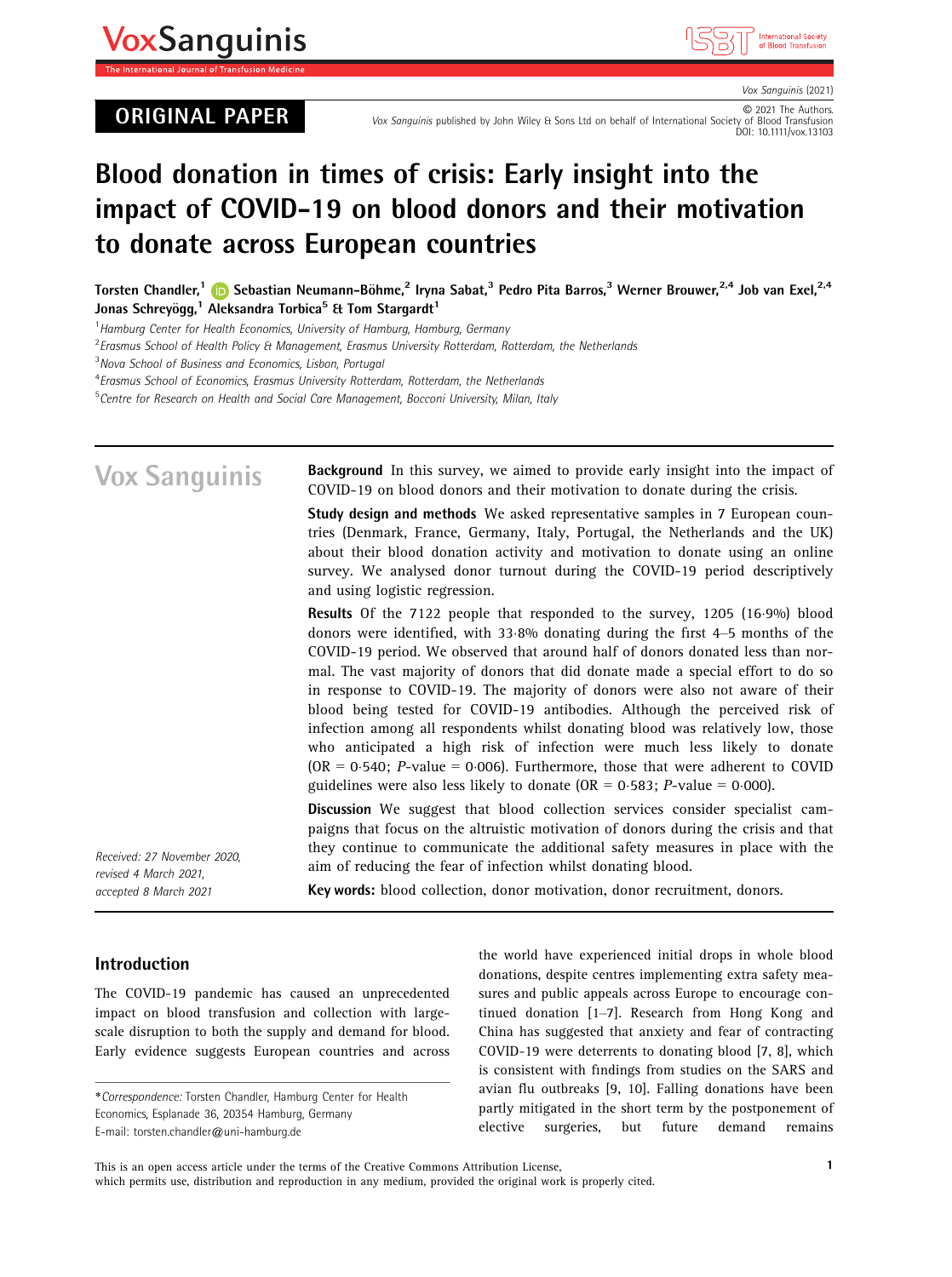# **VoxSanguinis**

## ORIGINAL PAPER<br>Vox Sanguinis published by John Wiley & Sons Ltd on behalf of International Society of Blood Transfusion<br>DOI: 10.1111/vox.13103



Vox Sanguinis (2021)<br>© 2021 The Authors.

# Blood donation in times of crisis: Early insight into the impact of COVID-19 on blood donors and their motivation to donate across European countries

Torsten Chandler,<sup>1</sup> in Sebastian Neumann-Böhme,<sup>2</sup> Iryna Sabat,<sup>3</sup> Pedro Pita Barros,<sup>3</sup> Werner Brouwer,<sup>2,4</sup> Job van Exel,<sup>2,4</sup> Jonas Schreyögg,<sup>1</sup> Aleksandra Torbica<sup>5</sup> & Tom Stargardt<sup>1</sup>

<sup>1</sup> Hamburg Center for Health Economics, University of Hamburg, Hamburg, Germany

 ${}^{2}$ Erasmus School of Health Policy & Management, Erasmus University Rotterdam, Rotterdam, the Netherlands

<sup>3</sup>Nova School of Business and Economics, Lisbon, Portugal

<sup>4</sup> Erasmus School of Economics, Erasmus University Rotterdam, Rotterdam, the Netherlands

<sup>5</sup>Centre for Research on Health and Social Care Management, Bocconi University, Milan, Italy

#### **Vox Sanquinis** Background In this survey, we aimed to provide early insight into the impact of COVID-19 on blood donors and their motivation to donate during the crisis. Study design and methods We asked representative samples in 7 European countries (Denmark, France, Germany, Italy, Portugal, the Netherlands and the UK) about their blood donation activity and motivation to donate using an online survey. We analysed donor turnout during the COVID-19 period descriptively and using logistic regression. Results Of the 7122 people that responded to the survey, 1205 (16.9%) blood donors were identified, with 338% donating during the first 4–5 months of the COVID-19 period. We observed that around half of donors donated less than normal. The vast majority of donors that did donate made a special effort to do so in response to COVID-19. The majority of donors were also not aware of their blood being tested for COVID-19 antibodies. Although the perceived risk of infection among all respondents whilst donating blood was relatively low, those who anticipated a high risk of infection were much less likely to donate  $(OR = 0.540; P-value = 0.006)$ . Furthermore, those that were adherent to COVID guidelines were also less likely to donate (OR =  $0.583$ ; *P*-value = 0.000). Discussion We suggest that blood collection services consider specialist campaigns that focus on the altruistic motivation of donors during the crisis and that they continue to communicate the additional safety measures in place with the Received: 27 November 2020, aim of reducing the fear of infection whilst donating blood. revised 4 March 2021, Key words: blood collection, donor motivation, donor recruitment, donors. accepted 8 March 2021

## Introduction

The COVID-19 pandemic has caused an unprecedented impact on blood transfusion and collection with largescale disruption to both the supply and demand for blood. Early evidence suggests European countries and across

the world have experienced initial drops in whole blood donations, despite centres implementing extra safety measures and public appeals across Europe to encourage continued donation [1–7]. Research from Hong Kong and China has suggested that anxiety and fear of contracting COVID-19 were deterrents to donating blood [7, 8], which is consistent with findings from studies on the SARS and avian flu outbreaks [9, 10]. Falling donations have been partly mitigated in the short term by the postponement of elective surgeries, but future demand remains

This is an open access article under the terms of the [Creative Commons Attribution](http://creativecommons.org/licenses/by/4.0/) License, which permits use, distribution and reproduction in any medium, provided the original work is properly cited.

<sup>\*</sup>Correspondence: Torsten Chandler, Hamburg Center for Health Economics, Esplanade 36, 20354 Hamburg, Germany E-mail: [torsten.chandler@uni-hamburg.de](mailto:)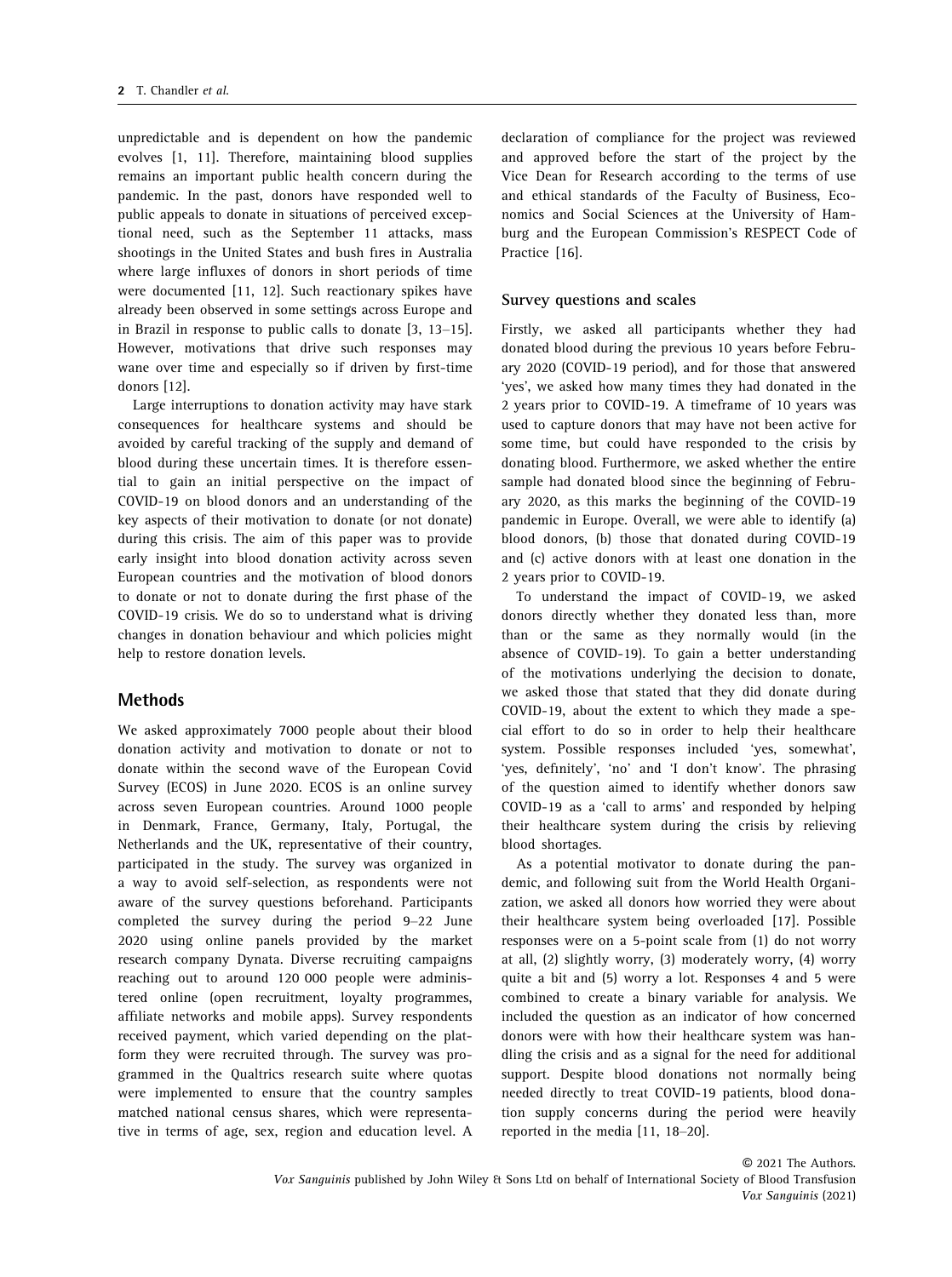unpredictable and is dependent on how the pandemic evolves [1, 11]. Therefore, maintaining blood supplies remains an important public health concern during the pandemic. In the past, donors have responded well to public appeals to donate in situations of perceived exceptional need, such as the September 11 attacks, mass shootings in the United States and bush fires in Australia where large influxes of donors in short periods of time were documented [11, 12]. Such reactionary spikes have already been observed in some settings across Europe and in Brazil in response to public calls to donate [3, 13–15]. However, motivations that drive such responses may wane over time and especially so if driven by first-time donors [12].

Large interruptions to donation activity may have stark consequences for healthcare systems and should be avoided by careful tracking of the supply and demand of blood during these uncertain times. It is therefore essential to gain an initial perspective on the impact of COVID-19 on blood donors and an understanding of the key aspects of their motivation to donate (or not donate) during this crisis. The aim of this paper was to provide early insight into blood donation activity across seven European countries and the motivation of blood donors to donate or not to donate during the first phase of the COVID-19 crisis. We do so to understand what is driving changes in donation behaviour and which policies might help to restore donation levels.

#### Methods

We asked approximately 7000 people about their blood donation activity and motivation to donate or not to donate within the second wave of the European Covid Survey (ECOS) in June 2020. ECOS is an online survey across seven European countries. Around 1000 people in Denmark, France, Germany, Italy, Portugal, the Netherlands and the UK, representative of their country, participated in the study. The survey was organized in a way to avoid self-selection, as respondents were not aware of the survey questions beforehand. Participants completed the survey during the period 9–22 June 2020 using online panels provided by the market research company Dynata. Diverse recruiting campaigns reaching out to around 120 000 people were administered online (open recruitment, loyalty programmes, affiliate networks and mobile apps). Survey respondents received payment, which varied depending on the platform they were recruited through. The survey was programmed in the Qualtrics research suite where quotas were implemented to ensure that the country samples matched national census shares, which were representative in terms of age, sex, region and education level. A

declaration of compliance for the project was reviewed and approved before the start of the project by the Vice Dean for Research according to the terms of use and ethical standards of the Faculty of Business, Economics and Social Sciences at the University of Hamburg and the European Commission's RESPECT Code of Practice [16].

#### Survey questions and scales

Firstly, we asked all participants whether they had donated blood during the previous 10 years before February 2020 (COVID-19 period), and for those that answered 'yes', we asked how many times they had donated in the 2 years prior to COVID-19. A timeframe of 10 years was used to capture donors that may have not been active for some time, but could have responded to the crisis by donating blood. Furthermore, we asked whether the entire sample had donated blood since the beginning of February 2020, as this marks the beginning of the COVID-19 pandemic in Europe. Overall, we were able to identify (a) blood donors, (b) those that donated during COVID-19 and (c) active donors with at least one donation in the 2 years prior to COVID-19.

To understand the impact of COVID-19, we asked donors directly whether they donated less than, more than or the same as they normally would (in the absence of COVID-19). To gain a better understanding of the motivations underlying the decision to donate, we asked those that stated that they did donate during COVID-19, about the extent to which they made a special effort to do so in order to help their healthcare system. Possible responses included 'yes, somewhat', 'yes, definitely', 'no' and 'I don't know'. The phrasing of the question aimed to identify whether donors saw COVID-19 as a 'call to arms' and responded by helping their healthcare system during the crisis by relieving blood shortages.

As a potential motivator to donate during the pandemic, and following suit from the World Health Organization, we asked all donors how worried they were about their healthcare system being overloaded [17]. Possible responses were on a 5-point scale from (1) do not worry at all, (2) slightly worry, (3) moderately worry, (4) worry quite a bit and (5) worry a lot. Responses 4 and 5 were combined to create a binary variable for analysis. We included the question as an indicator of how concerned donors were with how their healthcare system was handling the crisis and as a signal for the need for additional support. Despite blood donations not normally being needed directly to treat COVID-19 patients, blood donation supply concerns during the period were heavily reported in the media [11, 18–20].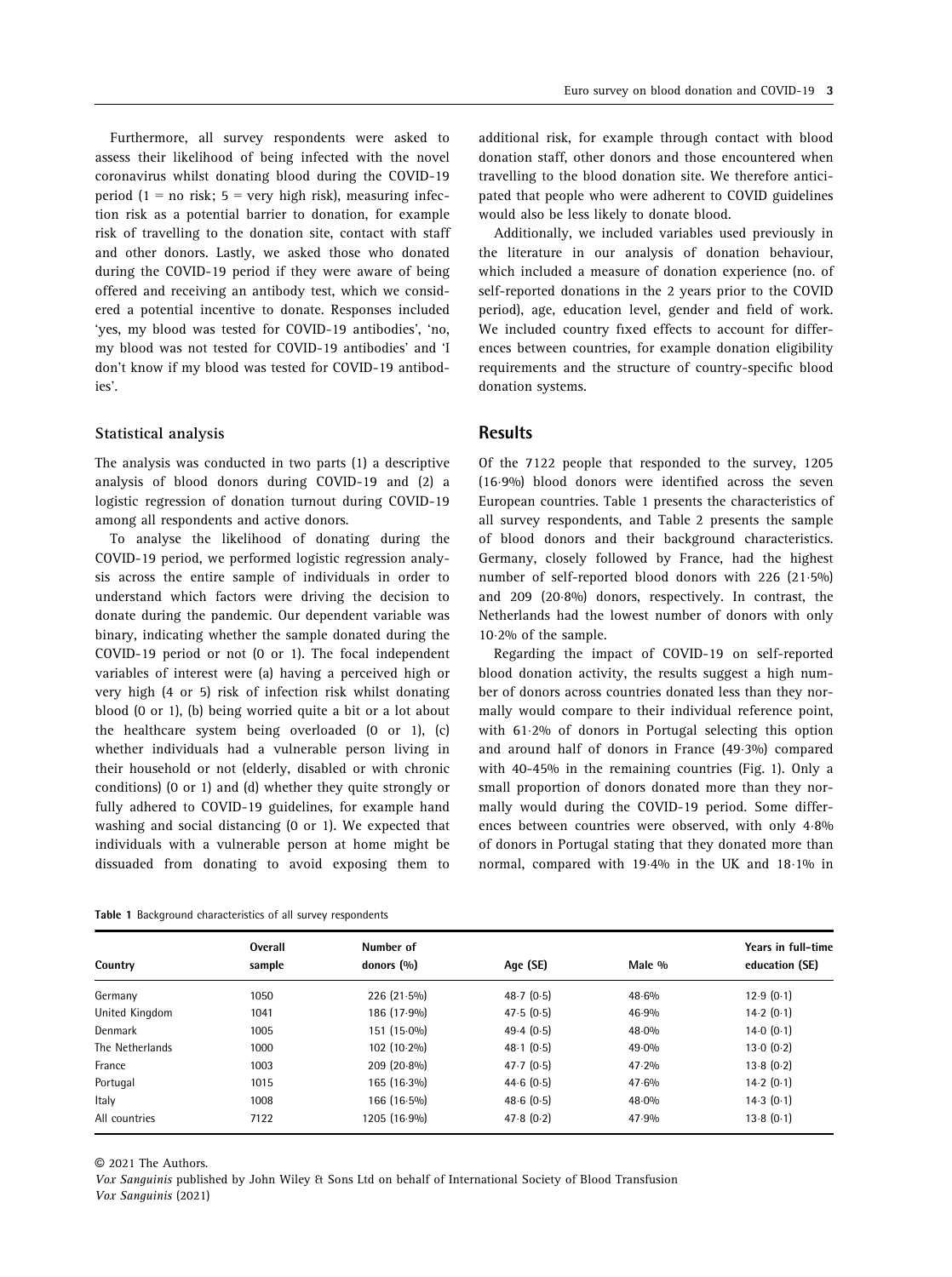Furthermore, all survey respondents were asked to assess their likelihood of being infected with the novel coronavirus whilst donating blood during the COVID-19 period (1 = no risk;  $5$  = very high risk), measuring infection risk as a potential barrier to donation, for example risk of travelling to the donation site, contact with staff and other donors. Lastly, we asked those who donated during the COVID-19 period if they were aware of being offered and receiving an antibody test, which we considered a potential incentive to donate. Responses included 'yes, my blood was tested for COVID-19 antibodies', 'no, my blood was not tested for COVID-19 antibodies' and 'I don't know if my blood was tested for COVID-19 antibodies'.

#### Statistical analysis

The analysis was conducted in two parts (1) a descriptive analysis of blood donors during COVID-19 and (2) a logistic regression of donation turnout during COVID-19 among all respondents and active donors.

To analyse the likelihood of donating during the COVID-19 period, we performed logistic regression analysis across the entire sample of individuals in order to understand which factors were driving the decision to donate during the pandemic. Our dependent variable was binary, indicating whether the sample donated during the COVID-19 period or not (0 or 1). The focal independent variables of interest were (a) having a perceived high or very high (4 or 5) risk of infection risk whilst donating blood (0 or 1), (b) being worried quite a bit or a lot about the healthcare system being overloaded (0 or 1), (c) whether individuals had a vulnerable person living in their household or not (elderly, disabled or with chronic conditions) (0 or 1) and (d) whether they quite strongly or fully adhered to COVID-19 guidelines, for example hand washing and social distancing (0 or 1). We expected that individuals with a vulnerable person at home might be dissuaded from donating to avoid exposing them to

|  |  |  | Table 1 Background characteristics of all survey respondents |  |  |  |  |
|--|--|--|--------------------------------------------------------------|--|--|--|--|
|--|--|--|--------------------------------------------------------------|--|--|--|--|

additional risk, for example through contact with blood donation staff, other donors and those encountered when travelling to the blood donation site. We therefore anticipated that people who were adherent to COVID guidelines would also be less likely to donate blood.

Additionally, we included variables used previously in the literature in our analysis of donation behaviour, which included a measure of donation experience (no. of self-reported donations in the 2 years prior to the COVID period), age, education level, gender and field of work. We included country fixed effects to account for differences between countries, for example donation eligibility requirements and the structure of country-specific blood donation systems.

## **Results**

Of the 7122 people that responded to the survey, 1205 (169%) blood donors were identified across the seven European countries. Table 1 presents the characteristics of all survey respondents, and Table 2 presents the sample of blood donors and their background characteristics. Germany, closely followed by France, had the highest number of self-reported blood donors with 226 (21.5%) and 209 (208%) donors, respectively. In contrast, the Netherlands had the lowest number of donors with only 102% of the sample.

Regarding the impact of COVID-19 on self-reported blood donation activity, the results suggest a high number of donors across countries donated less than they normally would compare to their individual reference point, with 612% of donors in Portugal selecting this option and around half of donors in France (493%) compared with 40-45% in the remaining countries (Fig. 1). Only a small proportion of donors donated more than they normally would during the COVID-19 period. Some differences between countries were observed, with only 4.8% of donors in Portugal stating that they donated more than normal, compared with 19.4% in the UK and 18.1% in

|                 | Overall | Number of     |           |        | Years in full-time |
|-----------------|---------|---------------|-----------|--------|--------------------|
| Country         | sample  | donors $(%$   | Age (SE)  | Male % | education (SE)     |
| Germany         | 1050    | $226(21.5\%)$ | 48.7(0.5) | 48.6%  | 12.9(0.1)          |
| United Kingdom  | 1041    | 186 (17.9%)   | 47.5(0.5) | 46.9%  | 14.2(0.1)          |
| Denmark         | 1005    | $151(15.0\%)$ | 49.4(0.5) | 48.0%  | 14.0(0.1)          |
| The Netherlands | 1000    | $102(10.2\%)$ | 48.1(0.5) | 49.0%  | 13.0(0.2)          |
| France          | 1003    | $209(20.8\%)$ | 47.7(0.5) | 47.2%  | 13.8(0.2)          |
| Portugal        | 1015    | $165(16.3\%)$ | 44.6(0.5) | 47.6%  | 14.2(0.1)          |
| Italy           | 1008    | $166(16.5\%)$ | 48.6(0.5) | 48.0%  | 14.3(0.1)          |
| All countries   | 7122    | 1205 (16.9%)  | 47.8(0.2) | 47.9%  | 13.8(0.1)          |

© 2021 The Authors.

Vox Sanguinis published by John Wiley & Sons Ltd on behalf of International Society of Blood Transfusion Vox Sanguinis (2021)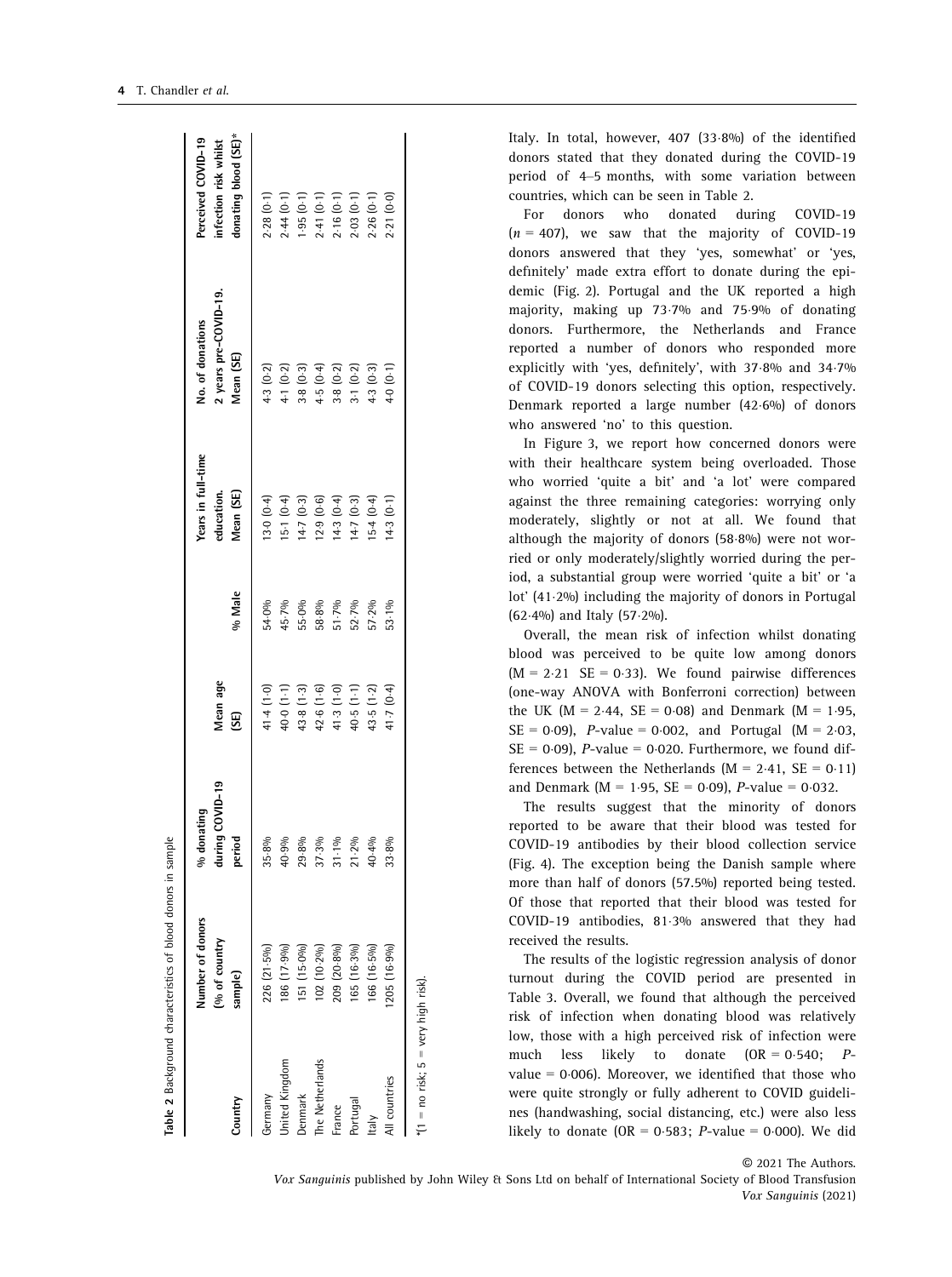| Country                                  | Number of donors<br>[% of country<br>sample) | during COVID-19<br>$%$ donating<br>period | Mean age<br>(SE)           | % Male                           | Years in full-time<br>Vlean (SE)<br>education. | 2 years pre-COVID-19.<br>No. of donations<br>Mean (SE)                                  | donating blood (SE)*<br>Perceived COVID-19<br>infection risk whilst |
|------------------------------------------|----------------------------------------------|-------------------------------------------|----------------------------|----------------------------------|------------------------------------------------|-----------------------------------------------------------------------------------------|---------------------------------------------------------------------|
| Germany                                  | 226 (21-5%)                                  | 35-8%                                     | 41.4 (1.0)                 | 54.0%                            | 13.0(0.4)                                      | 4.3(0.2)                                                                                | 2.28(0.1)                                                           |
| <b>Jnited Kingdom</b>                    | 186 (17.9%)                                  | 40.9%                                     |                            | 45.7%                            | 15.1(0.4)                                      | 4-1 $(0-2)$                                                                             | 2.44(0.1)                                                           |
| <b>Jenmark</b>                           | [15.0%]                                      | 29.8%                                     | $40.0(1.1)$<br>$43.8(1.3)$ | 55-0%                            | 14.7(0.3)                                      |                                                                                         | 1.95 (0.1)<br>2.41 (0.1)<br>2.16 (0.1)<br>2.03 (0.1)                |
| The Netherlands                          | 102 (10-2%)                                  | 37.3%                                     | 42.6(1.6)                  |                                  | 12.9(0.6)                                      | $\begin{array}{c} 3.8 \ (0.3) \\ 4.5 \ (0.4) \\ 3.8 \ (0.2) \\ 3.1 \ (0.2) \end{array}$ |                                                                     |
| France                                   | 209 (20.8%)                                  | 31.1%                                     |                            | 58.8%<br>51.7%<br>52.7%<br>57.2% | 14.3(0.4)                                      |                                                                                         |                                                                     |
| Portugal                                 | 165 (16-3%)                                  | 21.2%                                     | $41.3(1.0)$<br>$40.5(1.1)$ |                                  | 14.7(0.3)                                      |                                                                                         |                                                                     |
| ltalv                                    | 166 (16-5%)                                  | 40.4%                                     | 43.5(1.2)                  |                                  | $15-4(0-4)$                                    | 4.3 (0.3)                                                                               | 2.26(0.1)                                                           |
| All countries                            | 205(16.9%)                                   | 33.8%                                     | 41.7 (0.4)                 | 53.1%                            | 4.3(0.1)                                       | 4.0 (0.1)                                                                               | 2-21 (0-0)                                                          |
| $*(1 = no$ risk; $5 = v$ ery high risk). |                                              |                                           |                            |                                  |                                                |                                                                                         |                                                                     |

Italy. In total, however, 407 (33.8%) of the identified donors stated that they donated during the COVID-19 period of 4–5 months, with some variation between countries, which can be seen in Table 2.

For donors who donated during COVID-19  $(n = 407)$ , we saw that the majority of COVID-19 donors answered that they 'yes, somewhat' or 'yes, definitely' made extra effort to donate during the epidemic (Fig. 2). Portugal and the UK reported a high majority, making up 737% and 759% of donating donors. Furthermore, the Netherlands and France reported a number of donors who responded more explicitly with 'yes, definitely', with 37.8% and 34.7% of COVID-19 donors selecting this option, respectively. Denmark reported a large number (42.6%) of donors who answered 'no' to this question.

In Figure 3, we report how concerned donors were with their healthcare system being overloaded. Those who worried 'quite a bit' and 'a lot' were compared against the three remaining categories: worrying only moderately, slightly or not at all. We found that although the majority of donors  $(58.8\%)$  were not worried or only moderately/slightly worried during the period, a substantial group were worried 'quite a bit' or 'a lot' (41.2%) including the majority of donors in Portugal  $(62.4\%)$  and Italy  $(57.2\%)$ .

Overall, the mean risk of infection whilst donating blood was perceived to be quite low among donors  $(M = 2.21 \text{ SE} = 0.33)$ . We found pairwise differences (one-way ANOVA with Bonferroni correction) between the UK ( $M = 2.44$ ,  $SE = 0.08$ ) and Denmark ( $M = 1.95$ ,  $SE = 0.09$ , *P*-value = 0.002, and Portugal (M = 2.03,  $SE = 0.09$ ), *P*-value = 0.020. Furthermore, we found differences between the Netherlands ( $M = 2.41$ ,  $SE = 0.11$ ) and Denmark ( $M = 1.95$ ,  $SE = 0.09$ ), *P*-value = 0.032.

The results suggest that the minority of donors reported to be aware that their blood was tested for COVID-19 antibodies by their blood collection service (Fig. 4). The exception being the Danish sample where more than half of donors (57.5%) reported being tested. Of those that reported that their blood was tested for COVID-19 antibodies, 813% answered that they had received the results.

The results of the logistic regression analysis of donor turnout during the COVID period are presented in Table 3. Overall, we found that although the perceived risk of infection when donating blood was relatively low, those with a high perceived risk of infection were much less likely to donate  $(OR = 0.540; P$ value =  $0.006$ ). Moreover, we identified that those who were quite strongly or fully adherent to COVID guidelines (handwashing, social distancing, etc.) were also less likely to donate  $(OR = 0.583; P-value = 0.000)$ . We did

© 2021 The Authors.

Vox Sanguinis published by John Wiley & Sons Ltd on behalf of International Society of Blood Transfusion Vox Sanguinis (2021)

Table 2 Background characteristics of blood donors in sample

Background characteristics of blood donors in sample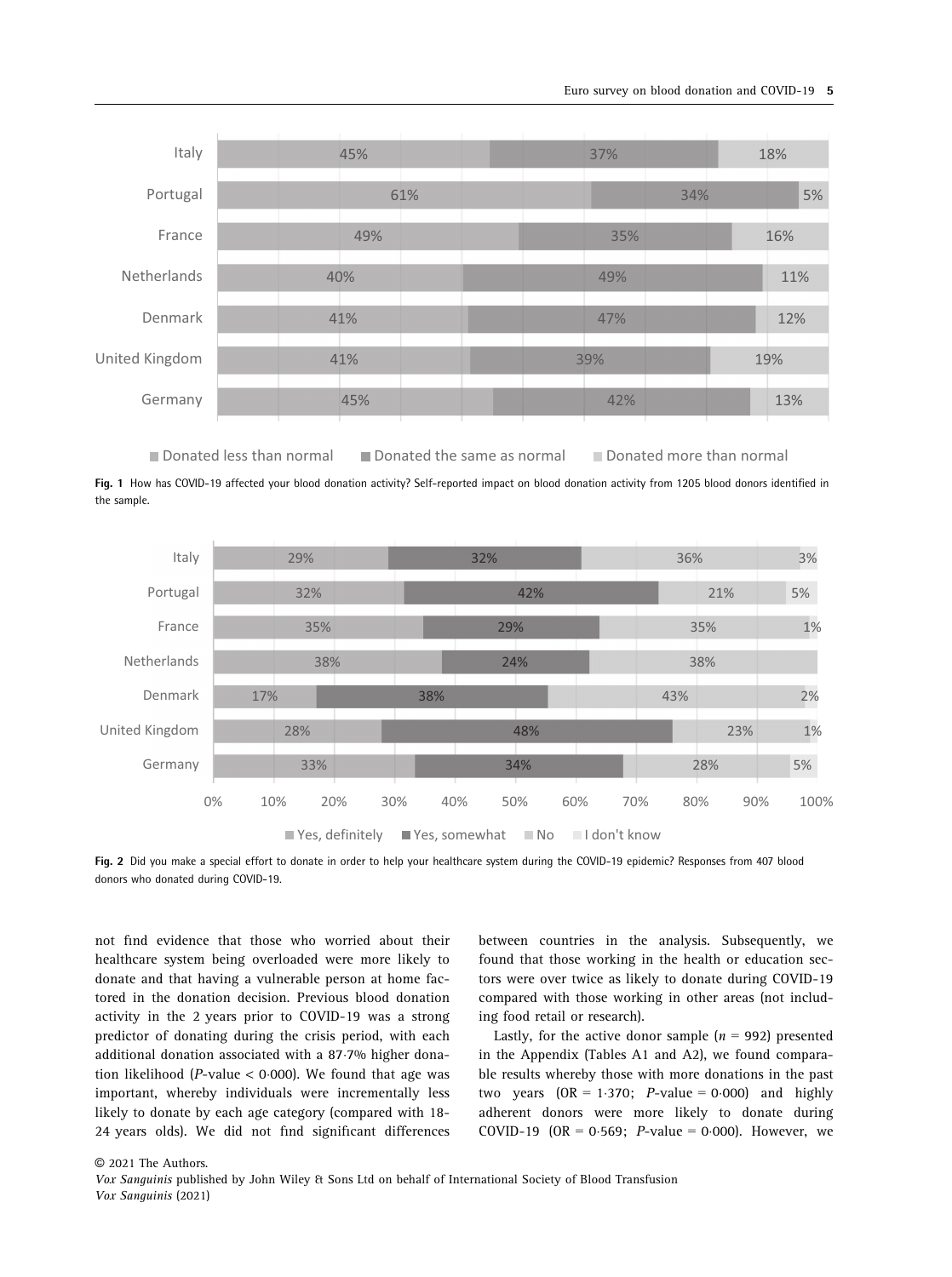

Donated less than normal Donated the same as normal Donated more than normal

Fig. 1 How has COVID-19 affected your blood donation activity? Self-reported impact on blood donation activity from 1205 blood donors identified in the sample.



Fig. 2 Did you make a special effort to donate in order to help your healthcare system during the COVID-19 epidemic? Responses from 407 blood donors who donated during COVID-19.

not find evidence that those who worried about their healthcare system being overloaded were more likely to donate and that having a vulnerable person at home factored in the donation decision. Previous blood donation activity in the 2 years prior to COVID-19 was a strong predictor of donating during the crisis period, with each additional donation associated with a 87.7% higher donation likelihood ( $P$ -value < 0.000). We found that age was important, whereby individuals were incrementally less likely to donate by each age category (compared with 18- 24 years olds). We did not find significant differences

between countries in the analysis. Subsequently, we found that those working in the health or education sectors were over twice as likely to donate during COVID-19 compared with those working in other areas (not including food retail or research).

Lastly, for the active donor sample  $(n = 992)$  presented in the Appendix (Tables A1 and A2), we found comparable results whereby those with more donations in the past two years  $(OR = 1.370; P-value = 0.000)$  and highly adherent donors were more likely to donate during COVID-19 (OR =  $0.569$ : *P*-value = 0.000). However, we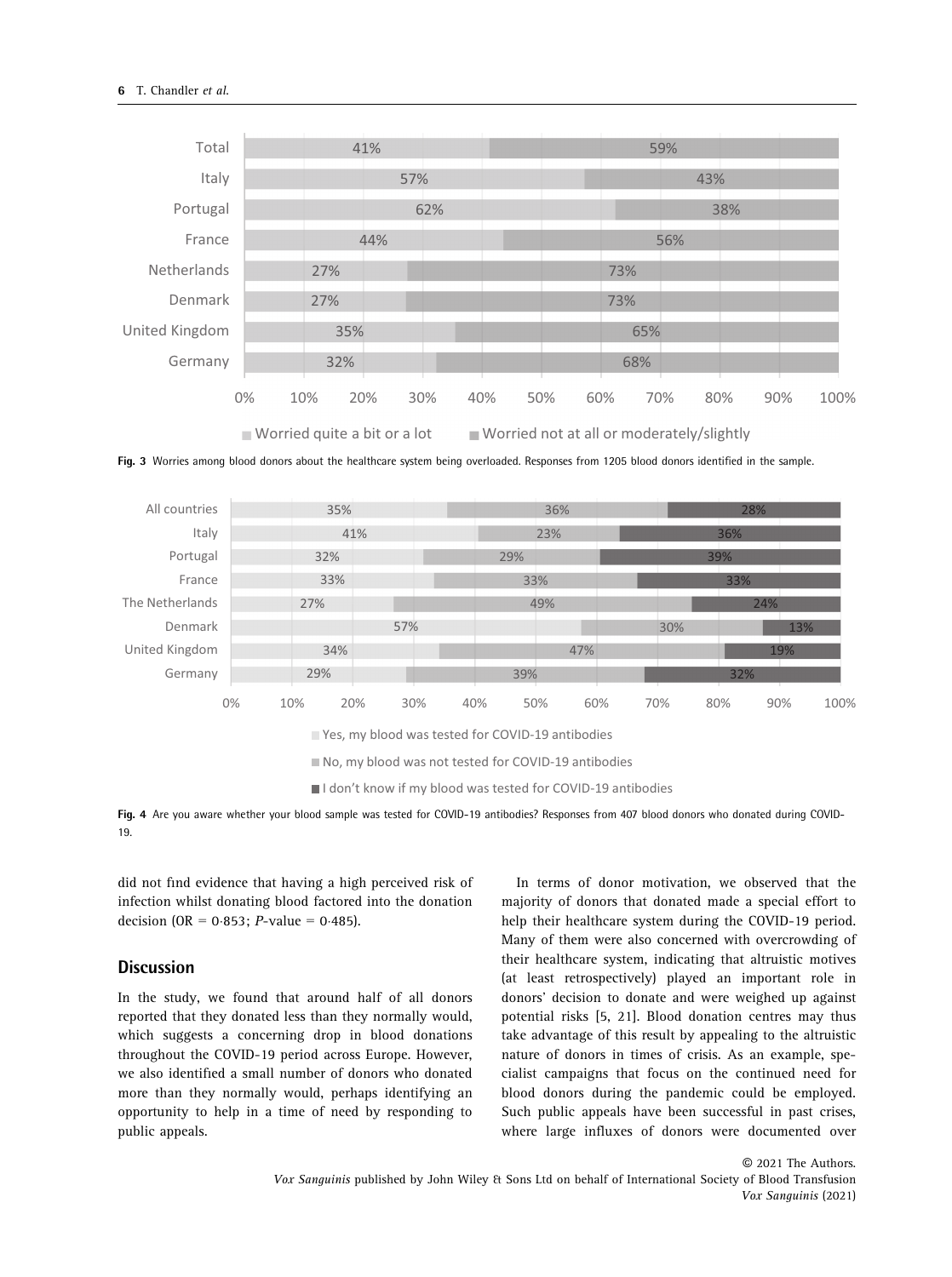

Fig. 3 Worries among blood donors about the healthcare system being overloaded. Responses from 1205 blood donors identified in the sample.



No, my blood was not tested for COVID-19 antibodies

I don't know if my blood was tested for COVID-19 antibodies

Fig. 4 Are you aware whether your blood sample was tested for COVID-19 antibodies? Responses from 407 blood donors who donated during COVID-19.

did not find evidence that having a high perceived risk of infection whilst donating blood factored into the donation decision (OR =  $0.853$ ; *P*-value =  $0.485$ ).

### **Discussion**

In the study, we found that around half of all donors reported that they donated less than they normally would, which suggests a concerning drop in blood donations throughout the COVID-19 period across Europe. However, we also identified a small number of donors who donated more than they normally would, perhaps identifying an opportunity to help in a time of need by responding to public appeals.

In terms of donor motivation, we observed that the majority of donors that donated made a special effort to help their healthcare system during the COVID-19 period. Many of them were also concerned with overcrowding of their healthcare system, indicating that altruistic motives (at least retrospectively) played an important role in donors' decision to donate and were weighed up against potential risks [5, 21]. Blood donation centres may thus take advantage of this result by appealing to the altruistic nature of donors in times of crisis. As an example, specialist campaigns that focus on the continued need for blood donors during the pandemic could be employed. Such public appeals have been successful in past crises, where large influxes of donors were documented over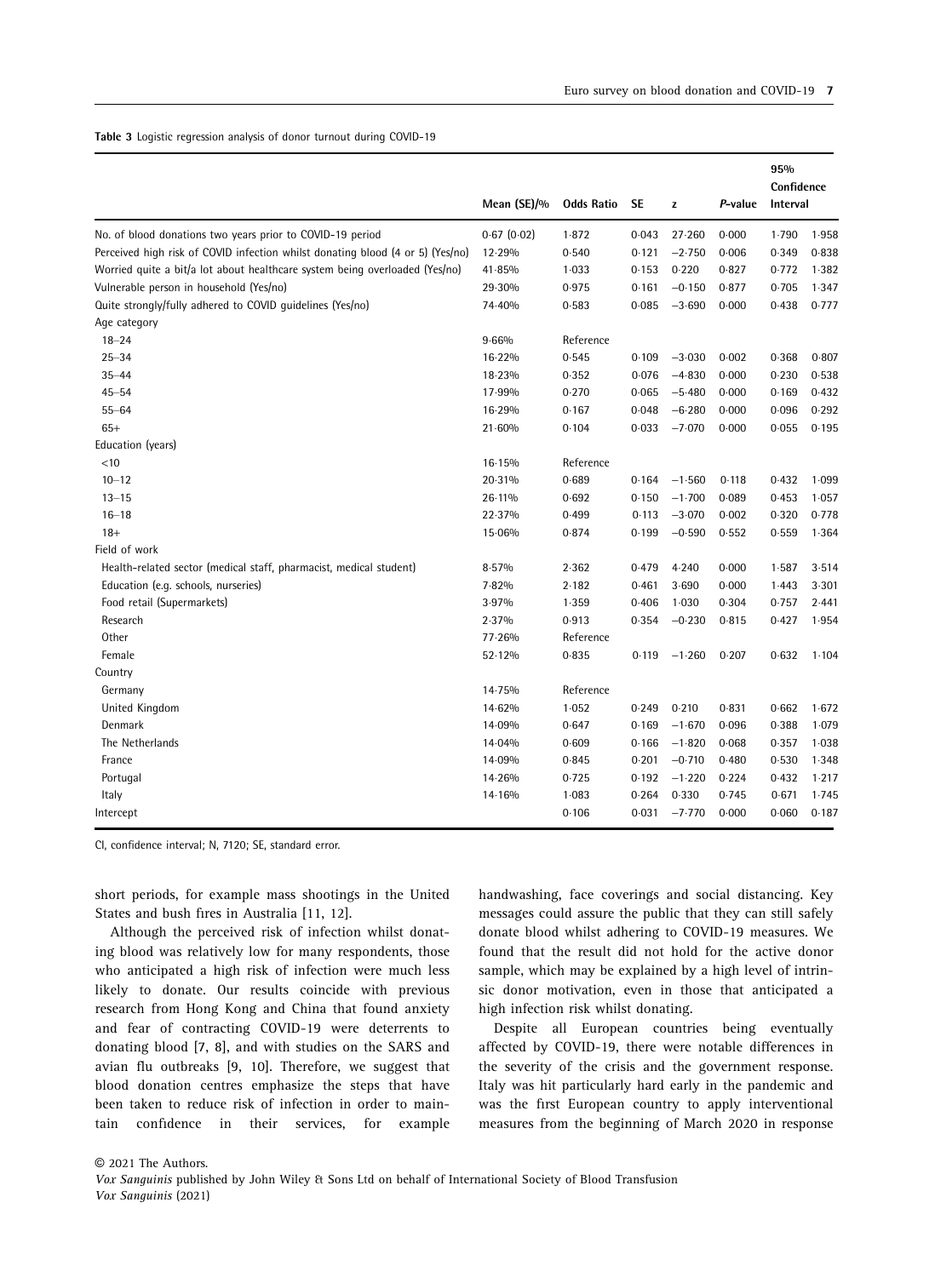#### Table 3 Logistic regression analysis of donor turnout during COVID-19

|                                                                                | Mean (SE)/% | <b>Odds Ratio</b> | <b>SE</b> | z               | P-value | 95%<br>Confidence<br>Interval |       |
|--------------------------------------------------------------------------------|-------------|-------------------|-----------|-----------------|---------|-------------------------------|-------|
| No. of blood donations two years prior to COVID-19 period                      | 0.67(0.02)  | 1.872             | 0.043     | 27.260          | 0.000   | 1.790                         | 1.958 |
| Perceived high risk of COVID infection whilst donating blood (4 or 5) (Yes/no) | 12.29%      | 0.540             | 0.121     | $-2.750$        | 0.006   | 0.349                         | 0.838 |
| Worried quite a bit/a lot about healthcare system being overloaded (Yes/no)    | 41.85%      | 1.033             | 0.153     | 0.220           | 0.827   | 0.772                         | 1.382 |
| Vulnerable person in household (Yes/no)                                        | 29.30%      | 0.975             | 0.161     | $-0.150$        | 0.877   | 0.705                         | 1.347 |
| Quite strongly/fully adhered to COVID quidelines (Yes/no)                      | 74-40%      | 0.583             | 0.085     | $-3.690$        | 0.000   | 0.438                         | 0.777 |
| Age category                                                                   |             |                   |           |                 |         |                               |       |
| $18 - 24$                                                                      | 9.66%       | Reference         |           |                 |         |                               |       |
| $25 - 34$                                                                      | 16-22%      | 0.545             | 0.109     | $-3.030$        | 0.002   | 0.368                         | 0.807 |
| $35 - 44$                                                                      | 18-23%      | 0.352             | 0.076     | $-4.830$        | 0.000   | 0.230                         | 0.538 |
| $45 - 54$                                                                      | 17.99%      | 0.270             | 0.065     | $-5.480$        | 0.000   | 0.169                         | 0.432 |
| $55 - 64$                                                                      | 16-29%      | 0.167             | 0.048     | $-6.280$        | 0.000   | 0.096                         | 0.292 |
| $65+$                                                                          | 21.60%      | 0.104             | 0.033     | $-7.070$        | 0.000   | 0.055                         | 0.195 |
| Education (years)                                                              |             |                   |           |                 |         |                               |       |
| $<$ 10                                                                         | 16.15%      | Reference         |           |                 |         |                               |       |
| $10 - 12$                                                                      | 20-31%      | 0.689             | 0.164     | $-1.560$        | 0.118   | 0.432                         | 1.099 |
| $13 - 15$                                                                      | 26-11%      | 0.692             | 0.150     | $-1.700$        | 0.089   | 0.453                         | 1.057 |
| $16 - 18$                                                                      | 22-37%      | 0.499             | 0.113     | $-3.070$        | 0.002   | 0.320                         | 0.778 |
| $18+$                                                                          | 15.06%      | 0.874             | 0.199     | $-0.590$        | 0.552   | 0.559                         | 1.364 |
| Field of work                                                                  |             |                   |           |                 |         |                               |       |
| Health-related sector (medical staff, pharmacist, medical student)             | 8.57%       | 2.362             | 0.479     | 4.240           | 0.000   | 1.587                         | 3.514 |
| Education (e.g. schools, nurseries)                                            | 7.82%       | 2.182             | 0.461     | 3.690           | 0.000   | 1.443                         | 3.301 |
| Food retail (Supermarkets)                                                     | 3.97%       | 1.359             | 0.406     | 1.030           | 0.304   | 0.757                         | 2.441 |
| Research                                                                       | 2.37%       | 0.913             | 0.354     | $-0.230$        | 0.815   | 0.427                         | 1.954 |
| Other                                                                          | 77.26%      | Reference         |           |                 |         |                               |       |
| Female                                                                         | 52.12%      | 0.835             |           | $0.119 - 1.260$ | 0.207   | 0.632                         | 1.104 |
| Country                                                                        |             |                   |           |                 |         |                               |       |
| Germany                                                                        | 14.75%      | Reference         |           |                 |         |                               |       |
| United Kingdom                                                                 | 14-62%      | 1.052             | 0.249     | 0.210           | 0.831   | 0.662                         | 1.672 |
| Denmark                                                                        | 14.09%      | 0.647             | 0.169     | $-1.670$        | 0.096   | 0.388                         | 1.079 |
| The Netherlands                                                                | 14.04%      | 0.609             | 0.166     | $-1.820$        | 0.068   | 0.357                         | 1.038 |
| France                                                                         | 14.09%      | 0.845             | 0.201     | $-0.710$        | 0.480   | 0.530                         | 1.348 |
| Portugal                                                                       | 14.26%      | 0.725             | 0.192     | $-1.220$        | 0.224   | 0.432                         | 1.217 |
| Italy                                                                          | 14.16%      | 1.083             | 0.264     | 0.330           | 0.745   | 0.671                         | 1.745 |
| Intercept                                                                      |             | 0.106             | 0.031     | $-7.770$        | 0.000   | 0.060                         | 0.187 |

CI, confidence interval; N, 7120; SE, standard error.

short periods, for example mass shootings in the United States and bush fires in Australia [11, 12].

Although the perceived risk of infection whilst donating blood was relatively low for many respondents, those who anticipated a high risk of infection were much less likely to donate. Our results coincide with previous research from Hong Kong and China that found anxiety and fear of contracting COVID-19 were deterrents to donating blood [7, 8], and with studies on the SARS and avian flu outbreaks [9, 10]. Therefore, we suggest that blood donation centres emphasize the steps that have been taken to reduce risk of infection in order to maintain confidence in their services, for example handwashing, face coverings and social distancing. Key messages could assure the public that they can still safely donate blood whilst adhering to COVID-19 measures. We found that the result did not hold for the active donor sample, which may be explained by a high level of intrinsic donor motivation, even in those that anticipated a high infection risk whilst donating.

Despite all European countries being eventually affected by COVID-19, there were notable differences in the severity of the crisis and the government response. Italy was hit particularly hard early in the pandemic and was the first European country to apply interventional measures from the beginning of March 2020 in response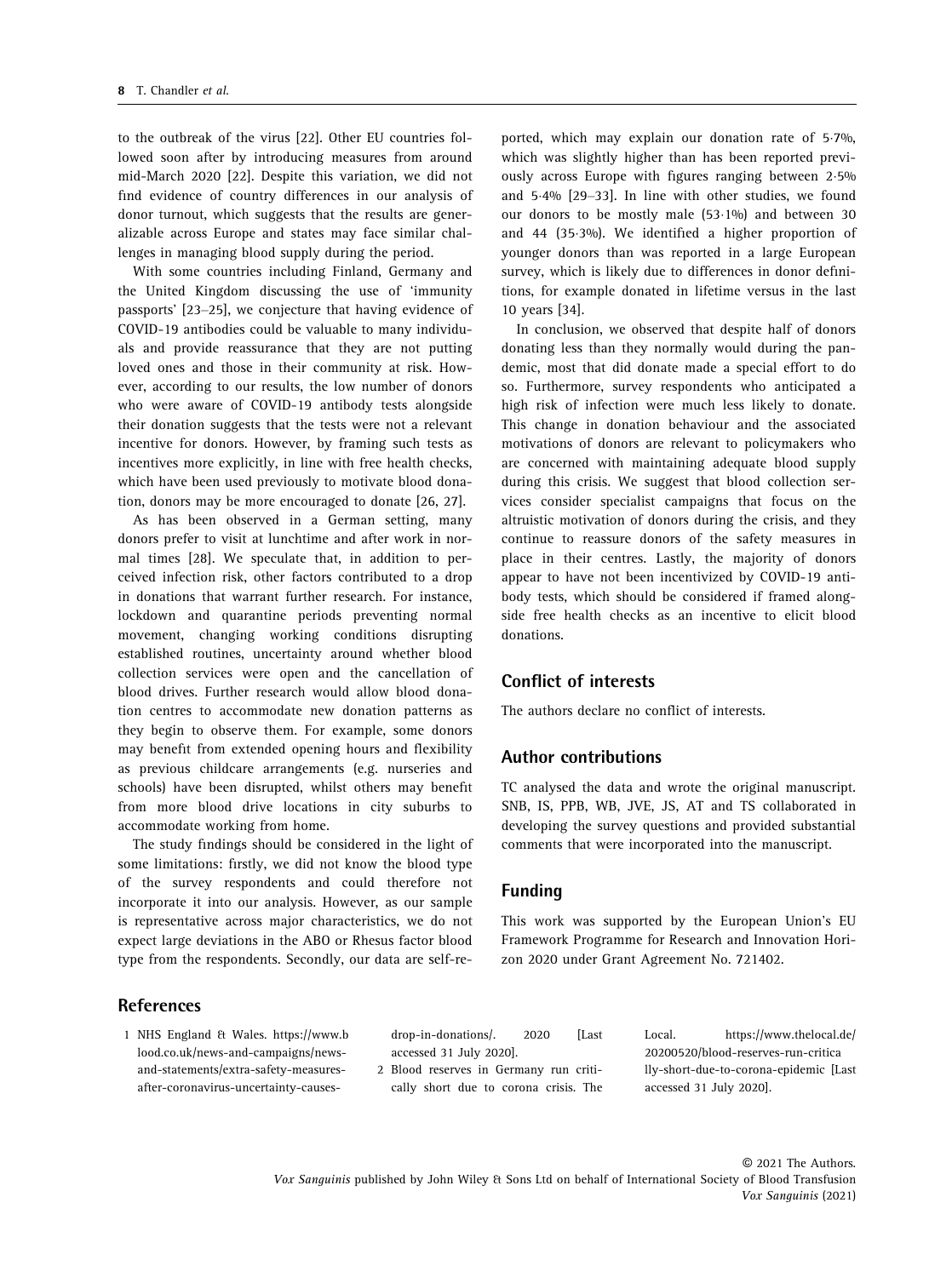to the outbreak of the virus [22]. Other EU countries followed soon after by introducing measures from around mid-March 2020 [22]. Despite this variation, we did not find evidence of country differences in our analysis of donor turnout, which suggests that the results are generalizable across Europe and states may face similar challenges in managing blood supply during the period.

With some countries including Finland, Germany and the United Kingdom discussing the use of 'immunity passports' [23–25], we conjecture that having evidence of COVID-19 antibodies could be valuable to many individuals and provide reassurance that they are not putting loved ones and those in their community at risk. However, according to our results, the low number of donors who were aware of COVID-19 antibody tests alongside their donation suggests that the tests were not a relevant incentive for donors. However, by framing such tests as incentives more explicitly, in line with free health checks, which have been used previously to motivate blood donation, donors may be more encouraged to donate [26, 27].

As has been observed in a German setting, many donors prefer to visit at lunchtime and after work in normal times [28]. We speculate that, in addition to perceived infection risk, other factors contributed to a drop in donations that warrant further research. For instance, lockdown and quarantine periods preventing normal movement, changing working conditions disrupting established routines, uncertainty around whether blood collection services were open and the cancellation of blood drives. Further research would allow blood donation centres to accommodate new donation patterns as they begin to observe them. For example, some donors may benefit from extended opening hours and flexibility as previous childcare arrangements (e.g. nurseries and schools) have been disrupted, whilst others may benefit from more blood drive locations in city suburbs to accommodate working from home.

The study findings should be considered in the light of some limitations: firstly, we did not know the blood type of the survey respondents and could therefore not incorporate it into our analysis. However, as our sample is representative across major characteristics, we do not expect large deviations in the ABO or Rhesus factor blood type from the respondents. Secondly, our data are self-re-

**References** 

1 NHS England & Wales. [https://www.b](https://www.blood.co.uk/news-and-campaigns/news-and-statements/extra-safety-measures-after-coronavirus-uncertainty-causes-drop-in-donations/) [lood.co.uk/news-and-campaigns/news](https://www.blood.co.uk/news-and-campaigns/news-and-statements/extra-safety-measures-after-coronavirus-uncertainty-causes-drop-in-donations/)[and-statements/extra-safety-measures](https://www.blood.co.uk/news-and-campaigns/news-and-statements/extra-safety-measures-after-coronavirus-uncertainty-causes-drop-in-donations/)[after-coronavirus-uncertainty-causes-](https://www.blood.co.uk/news-and-campaigns/news-and-statements/extra-safety-measures-after-coronavirus-uncertainty-causes-drop-in-donations/) [drop-in-donations/](https://www.blood.co.uk/news-and-campaigns/news-and-statements/extra-safety-measures-after-coronavirus-uncertainty-causes-drop-in-donations/). 2020 [Last accessed 31 July 2020].

2 Blood reserves in Germany run critically short due to corona crisis. The

ported, which may explain our donation rate of 57%, which was slightly higher than has been reported previously across Europe with figures ranging between 25% and 54% [29–33]. In line with other studies, we found our donors to be mostly male (53.1%) and between 30 and 44 (353%). We identified a higher proportion of younger donors than was reported in a large European survey, which is likely due to differences in donor definitions, for example donated in lifetime versus in the last 10 years [34].

In conclusion, we observed that despite half of donors donating less than they normally would during the pandemic, most that did donate made a special effort to do so. Furthermore, survey respondents who anticipated a high risk of infection were much less likely to donate. This change in donation behaviour and the associated motivations of donors are relevant to policymakers who are concerned with maintaining adequate blood supply during this crisis. We suggest that blood collection services consider specialist campaigns that focus on the altruistic motivation of donors during the crisis, and they continue to reassure donors of the safety measures in place in their centres. Lastly, the majority of donors appear to have not been incentivized by COVID-19 antibody tests, which should be considered if framed alongside free health checks as an incentive to elicit blood donations.

## Conflict of interests

The authors declare no conflict of interests.

## Author contributions

TC analysed the data and wrote the original manuscript. SNB, IS, PPB, WB, JVE, JS, AT and TS collaborated in developing the survey questions and provided substantial comments that were incorporated into the manuscript.

#### Funding

This work was supported by the European Union's EU Framework Programme for Research and Innovation Horizon 2020 under Grant Agreement No. 721402.

> Local. [https://www.thelocal.de/](https://www.thelocal.de/20200520/blood-reserves-run-critically-short-due-to-corona-epidemic) [20200520/blood-reserves-run-critica](https://www.thelocal.de/20200520/blood-reserves-run-critically-short-due-to-corona-epidemic) [lly-short-due-to-corona-epidemic](https://www.thelocal.de/20200520/blood-reserves-run-critically-short-due-to-corona-epidemic) [Last accessed 31 July 2020].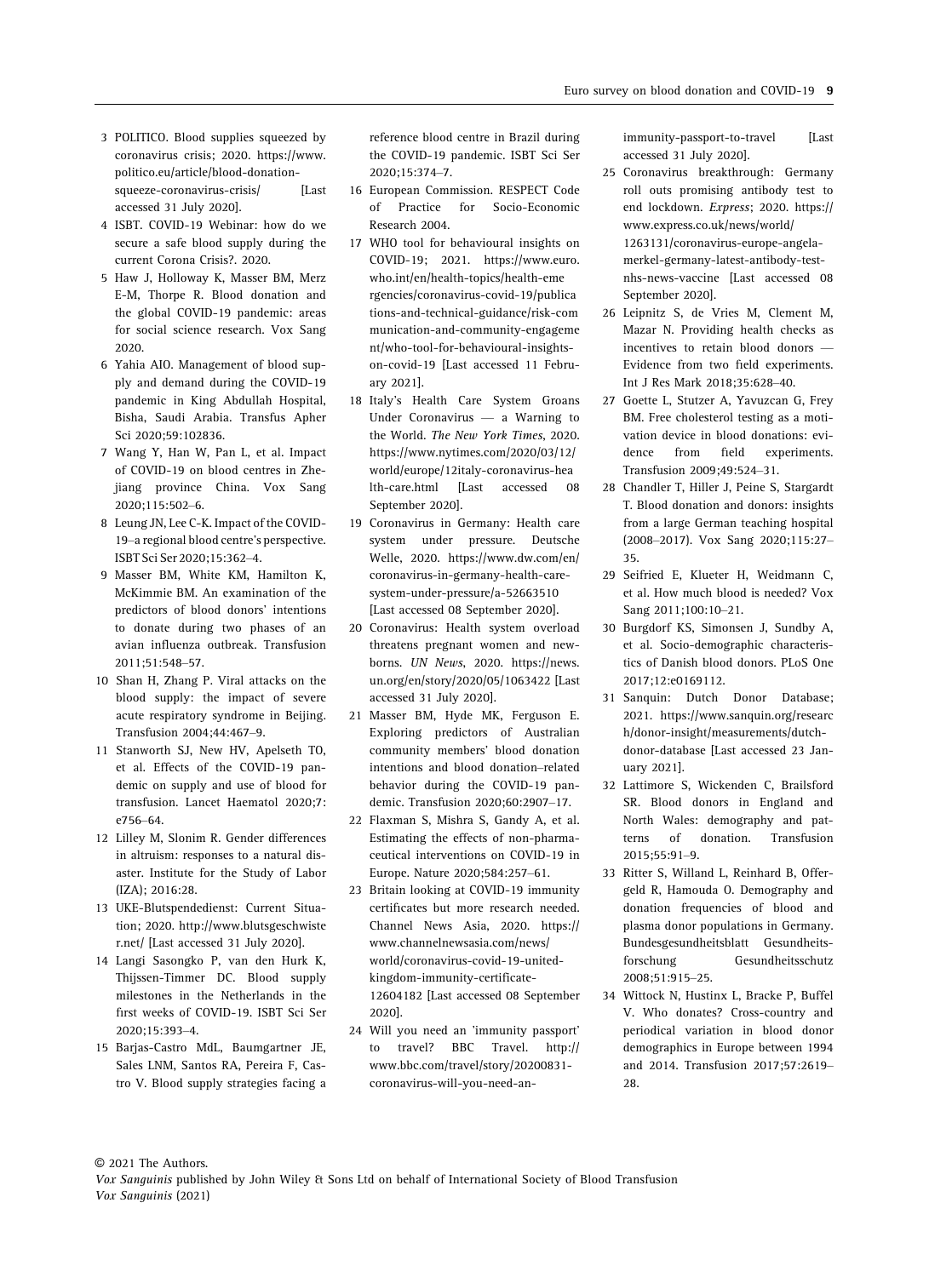- 3 POLITICO. Blood supplies squeezed by coronavirus crisis; 2020. [https://www.](https://www.politico.eu/article/blood-donation-squeeze-coronavirus-crisis/) [politico.eu/article/blood-donation](https://www.politico.eu/article/blood-donation-squeeze-coronavirus-crisis/)[squeeze-coronavirus-crisis/](https://www.politico.eu/article/blood-donation-squeeze-coronavirus-crisis/) [Last accessed 31 July 2020].
- 4 ISBT. COVID-19 Webinar: how do we secure a safe blood supply during the current Corona Crisis?. 2020.
- 5 Haw J, Holloway K, Masser BM, Merz E-M, Thorpe R. Blood donation and the global COVID-19 pandemic: areas for social science research. Vox Sang 2020.
- 6 Yahia AIO. Management of blood supply and demand during the COVID-19 pandemic in King Abdullah Hospital, Bisha, Saudi Arabia. Transfus Apher Sci 2020;59:102836.
- 7 Wang Y, Han W, Pan L, et al. Impact of COVID-19 on blood centres in Zhejiang province China. Vox Sang 2020;115:502–6.
- 8 Leung JN, Lee C-K. Impact of the COVID-19–a regional blood centre's perspective. ISBT Sci Ser 2020;15:362–4.
- 9 Masser BM, White KM, Hamilton K, McKimmie BM. An examination of the predictors of blood donors' intentions to donate during two phases of an avian influenza outbreak. Transfusion 2011;51:548–57.
- 10 Shan H, Zhang P. Viral attacks on the blood supply: the impact of severe acute respiratory syndrome in Beijing. Transfusion 2004;44:467–9.
- 11 Stanworth SJ, New HV, Apelseth TO, et al. Effects of the COVID-19 pandemic on supply and use of blood for transfusion. Lancet Haematol 2020;7: e756–64.
- 12 Lilley M, Slonim R. Gender differences in altruism: responses to a natural disaster. Institute for the Study of Labor (IZA); 2016:28.
- 13 UKE-Blutspendedienst: Current Situation; 2020. [http://www.blutsgeschwiste](http://www.blutsgeschwister.net/) [r.net/](http://www.blutsgeschwister.net/) [Last accessed 31 July 2020].
- 14 Langi Sasongko P, van den Hurk K, Thijssen-Timmer DC. Blood supply milestones in the Netherlands in the first weeks of COVID-19. ISBT Sci Ser 2020;15:393–4.
- 15 Barjas-Castro MdL, Baumgartner JE, Sales LNM, Santos RA, Pereira F, Castro V. Blood supply strategies facing a

reference blood centre in Brazil during the COVID-19 pandemic. ISBT Sci Ser 2020;15:374–7.

- 16 European Commission. RESPECT Code of Practice for Socio-Economic Research 2004.
- 17 WHO tool for behavioural insights on COVID-19; 2021. [https://www.euro.](https://www.euro.who.int/en/health-topics/health-emergencies/coronavirus-covid-19/publications-and-technical-guidance/risk-communication-and-community-engagement/who-tool-for-behavioural-insights-on-covid-19) [who.int/en/health-topics/health-eme](https://www.euro.who.int/en/health-topics/health-emergencies/coronavirus-covid-19/publications-and-technical-guidance/risk-communication-and-community-engagement/who-tool-for-behavioural-insights-on-covid-19) [rgencies/coronavirus-covid-19/publica](https://www.euro.who.int/en/health-topics/health-emergencies/coronavirus-covid-19/publications-and-technical-guidance/risk-communication-and-community-engagement/who-tool-for-behavioural-insights-on-covid-19) [tions-and-technical-guidance/risk-com](https://www.euro.who.int/en/health-topics/health-emergencies/coronavirus-covid-19/publications-and-technical-guidance/risk-communication-and-community-engagement/who-tool-for-behavioural-insights-on-covid-19) [munication-and-community-engageme](https://www.euro.who.int/en/health-topics/health-emergencies/coronavirus-covid-19/publications-and-technical-guidance/risk-communication-and-community-engagement/who-tool-for-behavioural-insights-on-covid-19) [nt/who-tool-for-behavioural-insights](https://www.euro.who.int/en/health-topics/health-emergencies/coronavirus-covid-19/publications-and-technical-guidance/risk-communication-and-community-engagement/who-tool-for-behavioural-insights-on-covid-19)[on-covid-19](https://www.euro.who.int/en/health-topics/health-emergencies/coronavirus-covid-19/publications-and-technical-guidance/risk-communication-and-community-engagement/who-tool-for-behavioural-insights-on-covid-19) [Last accessed 11 February 2021].
- 18 Italy's Health Care System Groans Under Coronavirus — a Warning to the World. The New York Times, 2020. [https://www.nytimes.com/2020/03/12/](https://www.nytimes.com/2020/03/12/world/europe/12italy-coronavirus-health-care.html) [world/europe/12italy-coronavirus-hea](https://www.nytimes.com/2020/03/12/world/europe/12italy-coronavirus-health-care.html) [lth-care.html](https://www.nytimes.com/2020/03/12/world/europe/12italy-coronavirus-health-care.html) [Last accessed 08 September 2020].
- 19 Coronavirus in Germany: Health care system under pressure. Deutsche Welle, 2020. [https://www.dw.com/en/](https://www.dw.com/en/coronavirus-in-germany-health-care-system-under-pressure/a-52663510) [coronavirus-in-germany-health-care](https://www.dw.com/en/coronavirus-in-germany-health-care-system-under-pressure/a-52663510)[system-under-pressure/a-52663510](https://www.dw.com/en/coronavirus-in-germany-health-care-system-under-pressure/a-52663510) [Last accessed 08 September 2020].
- 20 Coronavirus: Health system overload threatens pregnant women and newborns. UN News, 2020. [https://news.](https://news.un.org/en/story/2020/05/1063422) [un.org/en/story/2020/05/1063422](https://news.un.org/en/story/2020/05/1063422) [Last accessed 31 July 2020].
- 21 Masser BM, Hyde MK, Ferguson E. Exploring predictors of Australian community members' blood donation intentions and blood donation–related behavior during the COVID-19 pandemic. Transfusion 2020;60:2907–17.
- 22 Flaxman S, Mishra S, Gandy A, et al. Estimating the effects of non-pharmaceutical interventions on COVID-19 in Europe. Nature 2020;584:257–61.
- 23 Britain looking at COVID-19 immunity certificates but more research needed. Channel News Asia, 2020. [https://](https://www.channelnewsasia.com/news/world/coronavirus-covid-19-united-kingdom-immunity-certificate-12604182) [www.channelnewsasia.com/news/](https://www.channelnewsasia.com/news/world/coronavirus-covid-19-united-kingdom-immunity-certificate-12604182) [world/coronavirus-covid-19-united](https://www.channelnewsasia.com/news/world/coronavirus-covid-19-united-kingdom-immunity-certificate-12604182)[kingdom-immunity-certificate-](https://www.channelnewsasia.com/news/world/coronavirus-covid-19-united-kingdom-immunity-certificate-12604182)[12604182](https://www.channelnewsasia.com/news/world/coronavirus-covid-19-united-kingdom-immunity-certificate-12604182) [Last accessed 08 September 2020].
- 24 Will you need an 'immunity passport' to travel? BBC Travel. [http://](http://www.bbc.com/travel/story/20200831-coronavirus-will-you-need-an-immunity-passport-to-travel) [www.bbc.com/travel/story/20200831](http://www.bbc.com/travel/story/20200831-coronavirus-will-you-need-an-immunity-passport-to-travel) [coronavirus-will-you-need-an-](http://www.bbc.com/travel/story/20200831-coronavirus-will-you-need-an-immunity-passport-to-travel)

[immunity-passport-to-travel](http://www.bbc.com/travel/story/20200831-coronavirus-will-you-need-an-immunity-passport-to-travel) [Last accessed 31 July 2020].

- 25 Coronavirus breakthrough: Germany roll outs promising antibody test to end lockdown. Express; 2020. [https://](https://www.express.co.uk/news/world/1263131/coronavirus-europe-angela-merkel-germany-latest-antibody-test-nhs-news-vaccine) [www.express.co.uk/news/world/](https://www.express.co.uk/news/world/1263131/coronavirus-europe-angela-merkel-germany-latest-antibody-test-nhs-news-vaccine) [1263131/coronavirus-europe-angela](https://www.express.co.uk/news/world/1263131/coronavirus-europe-angela-merkel-germany-latest-antibody-test-nhs-news-vaccine)[merkel-germany-latest-antibody-test](https://www.express.co.uk/news/world/1263131/coronavirus-europe-angela-merkel-germany-latest-antibody-test-nhs-news-vaccine)[nhs-news-vaccine](https://www.express.co.uk/news/world/1263131/coronavirus-europe-angela-merkel-germany-latest-antibody-test-nhs-news-vaccine) [Last accessed 08 September 2020].
- 26 Leipnitz S, de Vries M, Clement M, Mazar N. Providing health checks as incentives to retain blood donors — Evidence from two field experiments. Int J Res Mark 2018;35:628–40.
- 27 Goette L, Stutzer A, Yavuzcan G, Frey BM. Free cholesterol testing as a motivation device in blood donations: evidence from field experiments. Transfusion 2009;49:524–31.
- 28 Chandler T, Hiller J, Peine S, Stargardt T. Blood donation and donors: insights from a large German teaching hospital (2008–2017). Vox Sang 2020;115:27– 35.
- 29 Seifried E, Klueter H, Weidmann C, et al. How much blood is needed? Vox Sang 2011;100:10–21.
- 30 Burgdorf KS, Simonsen J, Sundby A, et al. Socio-demographic characteristics of Danish blood donors. PLoS One 2017;12:e0169112.
- 31 Sanquin: Dutch Donor Database; 2021. [https://www.sanquin.org/researc](https://www.sanquin.org/research/donor-insight/measurements/dutch-donor-database) [h/donor-insight/measurements/dutch](https://www.sanquin.org/research/donor-insight/measurements/dutch-donor-database)[donor-database](https://www.sanquin.org/research/donor-insight/measurements/dutch-donor-database) [Last accessed 23 January 2021].
- 32 Lattimore S, Wickenden C, Brailsford SR. Blood donors in England and North Wales: demography and patterns of donation. Transfusion 2015;55:91–9.
- 33 Ritter S, Willand L, Reinhard B, Offergeld R, Hamouda O. Demography and donation frequencies of blood and plasma donor populations in Germany. Bundesgesundheitsblatt Gesundheitsforschung Gesundheitsschutz 2008;51:915–25.
- 34 Wittock N, Hustinx L, Bracke P, Buffel V. Who donates? Cross-country and periodical variation in blood donor demographics in Europe between 1994 and 2014. Transfusion 2017;57:2619– 28.

<sup>©</sup> 2021 The Authors.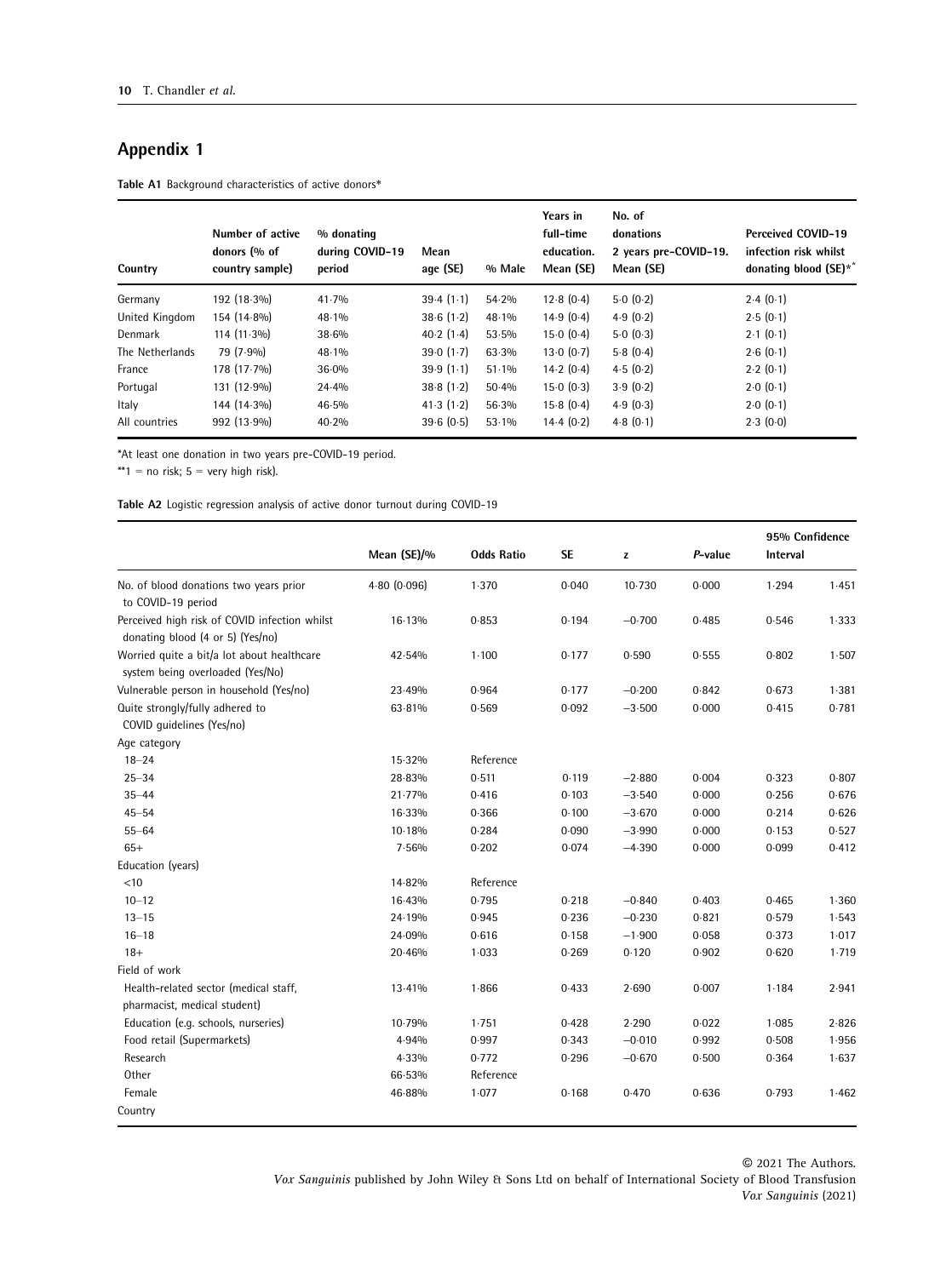## Appendix 1

Table A1 Background characteristics of active donors\*

| Country         | Number of active<br>donors (% of<br>country sample) | % donating<br>during COVID-19<br>period | Mean<br>age (SE) | % Male   | Years in<br>full-time<br>education.<br>Mean (SE) | No. of<br>donations<br>2 years pre-COVID-19.<br>Mean (SE) | <b>Perceived COVID-19</b><br>infection risk whilst<br>donating blood (SE)** |
|-----------------|-----------------------------------------------------|-----------------------------------------|------------------|----------|--------------------------------------------------|-----------------------------------------------------------|-----------------------------------------------------------------------------|
| Germany         | 192 (18.3%)                                         | 41.7%                                   | 39.4(1.1)        | 54.2%    | 12.8(0.4)                                        | 5.0(0.2)                                                  | 2.4(0.1)                                                                    |
| United Kingdom  | 154 (14.8%)                                         | 48.1%                                   | 38.6(1.2)        | 48.1%    | 14.9(0.4)                                        | 4.9(0.2)                                                  | 2.5(0.1)                                                                    |
| Denmark         | $114(11.3\%)$                                       | 38.6%                                   | 40.2(1.4)        | $53.5\%$ | 15.0(0.4)                                        | 5.0(0.3)                                                  | 2.1(0.1)                                                                    |
| The Netherlands | 79 (7.9%)                                           | 48.1%                                   | 39.0(1.7)        | 63.3%    | 13.0(0.7)                                        | 5.8(0.4)                                                  | 2.6(0.1)                                                                    |
| France          | 178 (17.7%)                                         | 36.0%                                   | 39.9(1.1)        | $51.1\%$ | 14.2(0.4)                                        | 4.5(0.2)                                                  | 2.2(0.1)                                                                    |
| Portugal        | $131(12.9\%)$                                       | 24.4%                                   | 38.8(1.2)        | 50.4%    | 15.0(0.3)                                        | 3.9(0.2)                                                  | 2.0(0.1)                                                                    |
| Italy           | 144 (14.3%)                                         | 46.5%                                   | 41.3(1.2)        | 56.3%    | 15.8(0.4)                                        | 4.9(0.3)                                                  | 2.0(0.1)                                                                    |
| All countries   | 992 (13.9%)                                         | 40.2%                                   | 39.6(0.5)        | 53.1%    | 14.4(0.2)                                        | 4.8(0.1)                                                  | 2.3(0.0)                                                                    |

\*At least one donation in two years pre-COVID-19 period.

\*\*1 = no risk;  $5 = \text{very high risk}$ .

Table A2 Logistic regression analysis of active donor turnout during COVID-19

|                                                                                                         | Mean (SE)/%<br><b>Odds Ratio</b> |           | <b>SE</b> | z        | P-value | 95% Confidence<br>Interval |       |
|---------------------------------------------------------------------------------------------------------|----------------------------------|-----------|-----------|----------|---------|----------------------------|-------|
| No. of blood donations two years prior                                                                  | 4.80(0.096)                      | 1.370     | 0.040     | 10.730   | 0.000   | 1.294                      | 1.451 |
| to COVID-19 period<br>Perceived high risk of COVID infection whilst<br>donating blood (4 or 5) (Yes/no) | 16.13%                           | 0.853     | 0.194     | $-0.700$ | 0.485   | 0.546                      | 1.333 |
| Worried quite a bit/a lot about healthcare<br>system being overloaded (Yes/No)                          | 42.54%                           | $1 - 100$ | 0.177     | 0.590    | 0.555   | 0.802                      | 1.507 |
| Vulnerable person in household (Yes/no)                                                                 | 23.49%                           | 0.964     | 0.177     | $-0.200$ | 0.842   | 0.673                      | 1.381 |
| Quite strongly/fully adhered to<br>COVID quidelines (Yes/no)                                            | 63.81%                           | 0.569     | 0.092     | $-3.500$ | 0.000   | 0.415                      | 0.781 |
| Age category                                                                                            |                                  |           |           |          |         |                            |       |
| $18 - 24$                                                                                               | 15.32%                           | Reference |           |          |         |                            |       |
| $25 - 34$                                                                                               | 28.83%                           | 0.511     | 0.119     | $-2.880$ | 0.004   | 0.323                      | 0.807 |
| $35 - 44$                                                                                               | 21.77%                           | 0.416     | 0.103     | $-3.540$ | 0.000   | 0.256                      | 0.676 |
| $45 - 54$                                                                                               | 16-33%                           | 0.366     | 0.100     | $-3.670$ | 0.000   | 0.214                      | 0.626 |
| $55 - 64$                                                                                               | 10.18%                           | 0.284     | 0.090     | $-3.990$ | 0.000   | 0.153                      | 0.527 |
| $65+$                                                                                                   | 7.56%                            | 0.202     | 0.074     | $-4.390$ | 0.000   | 0.099                      | 0.412 |
| Education (years)                                                                                       |                                  |           |           |          |         |                            |       |
| < 10                                                                                                    | 14-82%                           | Reference |           |          |         |                            |       |
| $10 - 12$                                                                                               | 16.43%                           | 0.795     | 0.218     | $-0.840$ | 0.403   | 0.465                      | 1.360 |
| $13 - 15$                                                                                               | 24-19%                           | 0.945     | 0.236     | $-0.230$ | 0.821   | 0.579                      | 1.543 |
| $16 - 18$                                                                                               | 24.09%                           | 0.616     | 0.158     | $-1.900$ | 0.058   | 0.373                      | 1.017 |
| $18+$                                                                                                   | 20.46%                           | 1.033     | 0.269     | 0.120    | 0.902   | 0.620                      | 1.719 |
| Field of work                                                                                           |                                  |           |           |          |         |                            |       |
| Health-related sector (medical staff,<br>pharmacist, medical student)                                   | $13.41\%$                        | 1.866     | 0.433     | 2.690    | 0.007   | 1.184                      | 2.941 |
| Education (e.g. schools, nurseries)                                                                     | 10.79%                           | 1.751     | 0.428     | 2.290    | 0.022   | 1.085                      | 2.826 |
| Food retail (Supermarkets)                                                                              | 4.94%                            | 0.997     | 0.343     | $-0.010$ | 0.992   | 0.508                      | 1.956 |
| Research                                                                                                | 4.33%                            | 0.772     | 0.296     | $-0.670$ | 0.500   | 0.364                      | 1.637 |
| Other                                                                                                   | 66.53%                           | Reference |           |          |         |                            |       |
| Female                                                                                                  | 46.88%                           | 1.077     | 0.168     | 0.470    | 0.636   | 0.793                      | 1.462 |
| Country                                                                                                 |                                  |           |           |          |         |                            |       |

© 2021 The Authors. Vox Sanguinis published by John Wiley & Sons Ltd on behalf of International Society of Blood Transfusion Vox Sanguinis (2021)